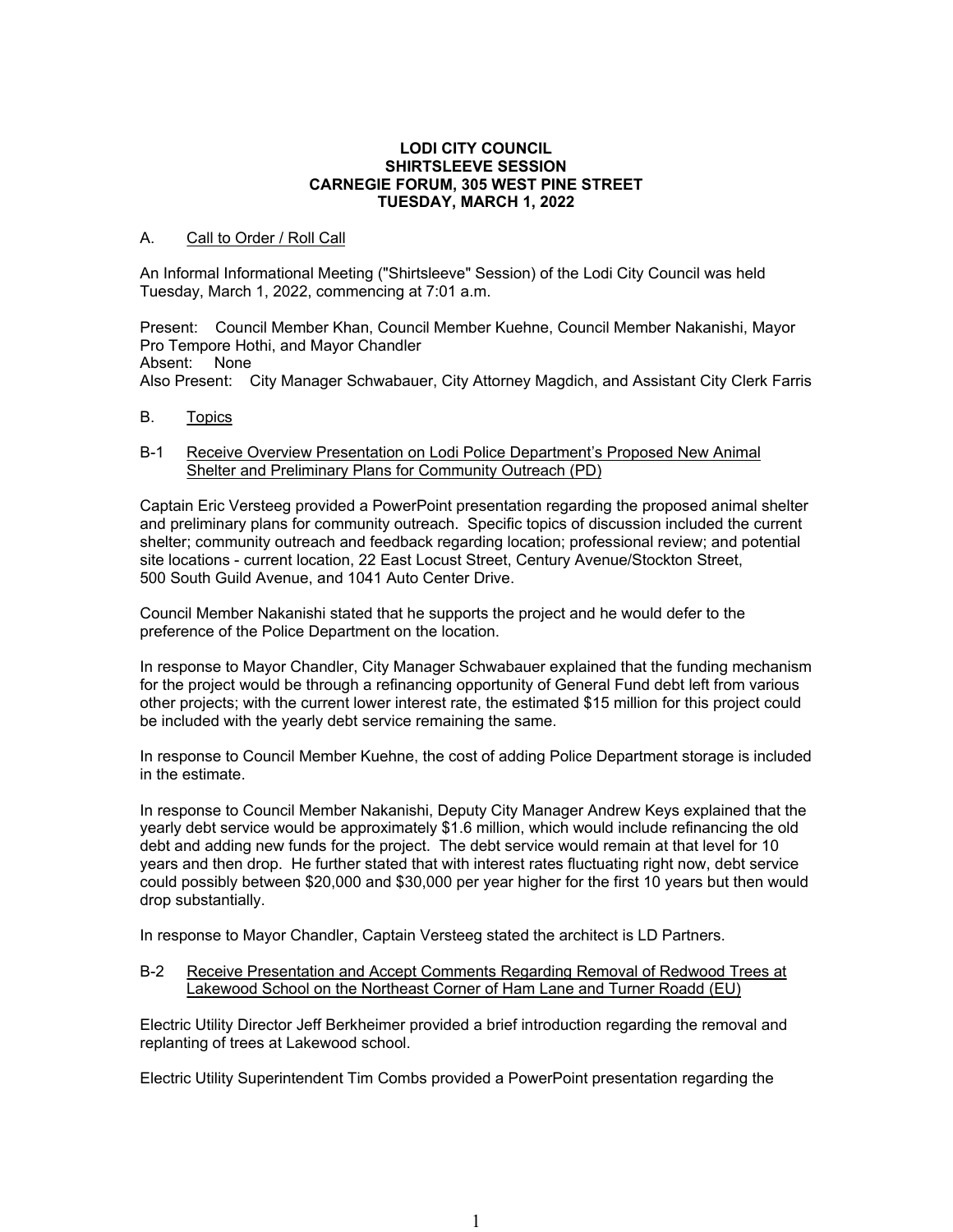### **LODI CITY COUNCIL SHIRTSLEEVE SESSION CARNEGIE FORUM, 305 WEST PINE STREET TUESDAY, MARCH 1, 2022**

# A. Call to Order / Roll Call

An Informal Informational Meeting ("Shirtsleeve" Session) of the Lodi City Council was held Tuesday, March 1, 2022, commencing at 7:01 a.m.

Present: Council Member Khan, Council Member Kuehne, Council Member Nakanishi, Mayor Pro Tempore Hothi, and Mayor Chandler Absent: None Also Present: City Manager Schwabauer, City Attorney Magdich, and Assistant City Clerk Farris

B. Topics

## B-1 Receive Overview Presentation on Lodi Police Department's Proposed New Animal Shelter and Preliminary Plans for Community Outreach (PD)

Captain Eric Versteeg provided a PowerPoint presentation regarding the proposed animal shelter and preliminary plans for community outreach. Specific topics of discussion included the current shelter; community outreach and feedback regarding location; professional review; and potential site locations - current location, 22 East Locust Street, Century Avenue/Stockton Street, 500 South Guild Avenue, and 1041 Auto Center Drive.

Council Member Nakanishi stated that he supports the project and he would defer to the preference of the Police Department on the location.

In response to Mayor Chandler, City Manager Schwabauer explained that the funding mechanism for the project would be through a refinancing opportunity of General Fund debt left from various other projects; with the current lower interest rate, the estimated \$15 million for this project could be included with the yearly debt service remaining the same.

In response to Council Member Kuehne, the cost of adding Police Department storage is included in the estimate.

In response to Council Member Nakanishi, Deputy City Manager Andrew Keys explained that the yearly debt service would be approximately \$1.6 million, which would include refinancing the old debt and adding new funds for the project. The debt service would remain at that level for 10 years and then drop. He further stated that with interest rates fluctuating right now, debt service could possibly between \$20,000 and \$30,000 per year higher for the first 10 years but then would drop substantially.

In response to Mayor Chandler, Captain Versteeg stated the architect is LD Partners.

### B-2 Receive Presentation and Accept Comments Regarding Removal of Redwood Trees at Lakewood School on the Northeast Corner of Ham Lane and Turner Roadd (EU)

Electric Utility Director Jeff Berkheimer provided a brief introduction regarding the removal and replanting of trees at Lakewood school.

Electric Utility Superintendent Tim Combs provided a PowerPoint presentation regarding the